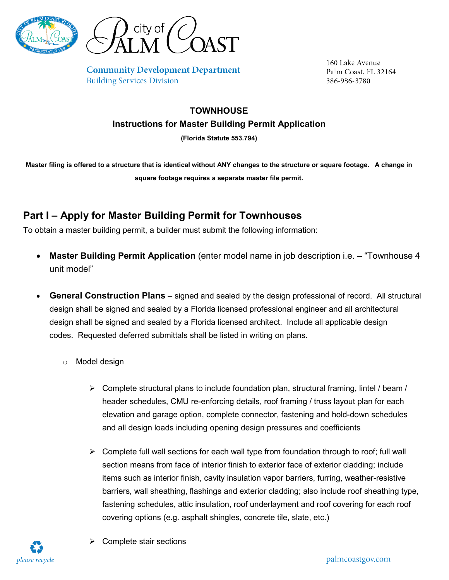



**Community Development Department Building Services Division** 

160 Lake Avenue Palm Coast, FL 32164 386-986-3780

## **TOWNHOUSE Instructions for Master Building Permit Application**

**(Florida Statute 553.794)**

**Master filing is offered to a structure that is identical without ANY changes to the structure or square footage. A change in square footage requires a separate master file permit.**

## **Part I – Apply for Master Building Permit for Townhouses**

To obtain a master building permit, a builder must submit the following information:

- **Master Building Permit Application** (enter model name in job description i.e. "Townhouse 4 unit model"
- **General Construction Plans** signed and sealed by the design professional of record. All structural design shall be signed and sealed by a Florida licensed professional engineer and all architectural design shall be signed and sealed by a Florida licensed architect. Include all applicable design codes. Requested deferred submittals shall be listed in writing on plans.
	- o Model design
		- $\triangleright$  Complete structural plans to include foundation plan, structural framing, lintel / beam / header schedules, CMU re-enforcing details, roof framing / truss layout plan for each elevation and garage option, complete connector, fastening and hold-down schedules and all design loads including opening design pressures and coefficients
		- $\triangleright$  Complete full wall sections for each wall type from foundation through to roof; full wall section means from face of interior finish to exterior face of exterior cladding; include items such as interior finish, cavity insulation vapor barriers, furring, weather-resistive barriers, wall sheathing, flashings and exterior cladding; also include roof sheathing type, fastening schedules, attic insulation, roof underlayment and roof covering for each roof covering options (e.g. asphalt shingles, concrete tile, slate, etc.)



Complete stair sections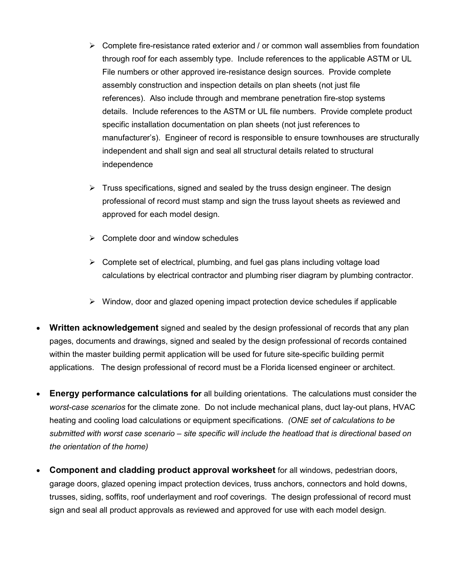- $\triangleright$  Complete fire-resistance rated exterior and / or common wall assemblies from foundation through roof for each assembly type. Include references to the applicable ASTM or UL File numbers or other approved ire-resistance design sources. Provide complete assembly construction and inspection details on plan sheets (not just file references). Also include through and membrane penetration fire-stop systems details. Include references to the ASTM or UL file numbers. Provide complete product specific installation documentation on plan sheets (not just references to manufacturer's). Engineer of record is responsible to ensure townhouses are structurally independent and shall sign and seal all structural details related to structural independence
- $\triangleright$  Truss specifications, signed and sealed by the truss design engineer. The design professional of record must stamp and sign the truss layout sheets as reviewed and approved for each model design.
- $\triangleright$  Complete door and window schedules
- $\triangleright$  Complete set of electrical, plumbing, and fuel gas plans including voltage load calculations by electrical contractor and plumbing riser diagram by plumbing contractor.
- $\triangleright$  Window, door and glazed opening impact protection device schedules if applicable
- **Written acknowledgement** signed and sealed by the design professional of records that any plan pages, documents and drawings, signed and sealed by the design professional of records contained within the master building permit application will be used for future site-specific building permit applications. The design professional of record must be a Florida licensed engineer or architect.
- **Energy performance calculations for** all building orientations. The calculations must consider the *worst-case scenarios* for the climate zone. Do not include mechanical plans, duct lay-out plans, HVAC heating and cooling load calculations or equipment specifications. *(ONE set of calculations to be submitted with worst case scenario – site specific will include the heatload that is directional based on the orientation of the home)*
- **Component and cladding product approval worksheet** for all windows, pedestrian doors, garage doors, glazed opening impact protection devices, truss anchors, connectors and hold downs, trusses, siding, soffits, roof underlayment and roof coverings. The design professional of record must sign and seal all product approvals as reviewed and approved for use with each model design.